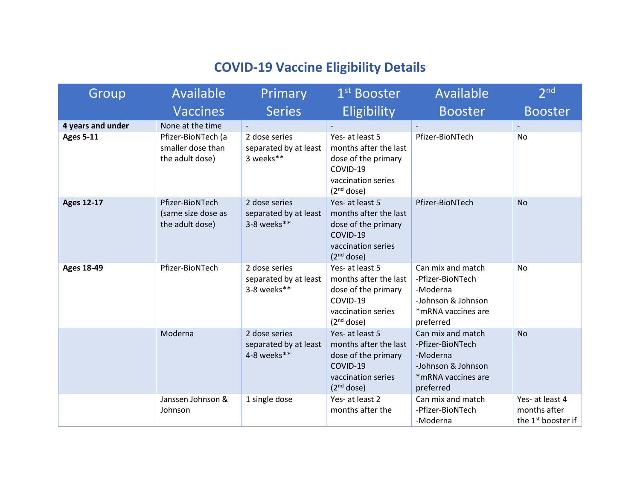## **COVID-19 Vaccine Eligibility Details**

| Group             | Available                                                  | Primary                                               | 1 <sup>st</sup> Booster                                                                                                     | Available                                                                                                  | 2 <sub>nd</sub>                                                   |
|-------------------|------------------------------------------------------------|-------------------------------------------------------|-----------------------------------------------------------------------------------------------------------------------------|------------------------------------------------------------------------------------------------------------|-------------------------------------------------------------------|
|                   | <b>Vaccines</b>                                            | <b>Series</b>                                         | <b>Eligibility</b>                                                                                                          | <b>Booster</b>                                                                                             | <b>Booster</b>                                                    |
| 4 years and under | None at the time                                           |                                                       |                                                                                                                             |                                                                                                            |                                                                   |
| <b>Ages 5-11</b>  | Pfizer-BioNTech (a<br>smaller dose than<br>the adult dose) | 2 dose series<br>separated by at least<br>3 weeks**   | Yes- at least 5<br>months after the last<br>dose of the primary<br>COVID-19<br>vaccination series<br>(2 <sup>nd</sup> dose) | Pfizer-BioNTech                                                                                            | No                                                                |
| <b>Ages 12-17</b> | Pfizer-BioNTech<br>(same size dose as<br>the adult dose)   | 2 dose series<br>separated by at least<br>3-8 weeks** | Yes- at least 5<br>months after the last<br>dose of the primary<br>COVID-19<br>vaccination series<br>(2 <sup>nd</sup> dose) | Pfizer-BioNTech                                                                                            | <b>No</b>                                                         |
| <b>Ages 18-49</b> | Pfizer-BioNTech                                            | 2 dose series<br>separated by at least<br>3-8 weeks** | Yes- at least 5<br>months after the last<br>dose of the primary<br>COVID-19<br>vaccination series<br>(2 <sup>nd</sup> dose) | Can mix and match<br>-Pfizer-BioNTech<br>-Moderna<br>-Johnson & Johnson<br>*mRNA vaccines are<br>preferred | No                                                                |
|                   | Moderna                                                    | 2 dose series<br>separated by at least<br>4-8 weeks** | Yes- at least 5<br>months after the last<br>dose of the primary<br>COVID-19<br>vaccination series<br>(2 <sup>nd</sup> dose) | Can mix and match<br>-Pfizer-BioNTech<br>-Moderna<br>-Johnson & Johnson<br>*mRNA vaccines are<br>preferred | <b>No</b>                                                         |
|                   | Janssen Johnson &<br>Johnson                               | 1 single dose                                         | Yes- at least 2<br>months after the                                                                                         | Can mix and match<br>-Pfizer-BioNTech<br>-Moderna                                                          | Yes- at least 4<br>months after<br>the 1 <sup>st</sup> booster if |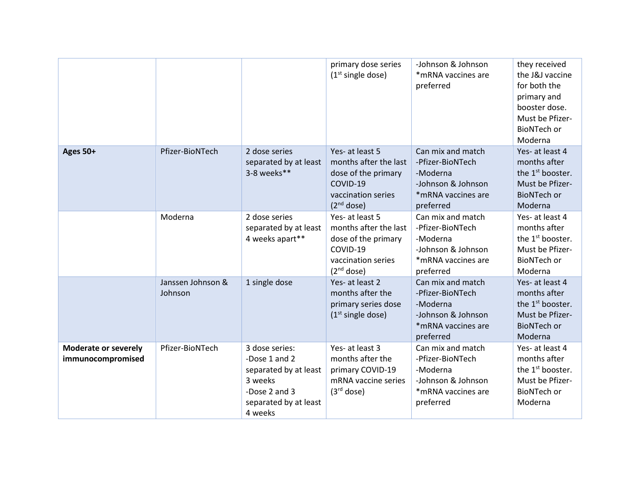|                                                  |                              |                                                                                                                          | primary dose series<br>$(1st$ single dose)                                                                                  | -Johnson & Johnson<br>*mRNA vaccines are<br>preferred                                                      | they received<br>the J&J vaccine<br>for both the<br>primary and<br>booster dose.<br>Must be Pfizer-<br><b>BioNTech or</b><br>Moderna |
|--------------------------------------------------|------------------------------|--------------------------------------------------------------------------------------------------------------------------|-----------------------------------------------------------------------------------------------------------------------------|------------------------------------------------------------------------------------------------------------|--------------------------------------------------------------------------------------------------------------------------------------|
| Ages 50+                                         | Pfizer-BioNTech              | 2 dose series<br>separated by at least<br>3-8 weeks**                                                                    | Yes- at least 5<br>months after the last<br>dose of the primary<br>COVID-19<br>vaccination series<br>(2 <sup>nd</sup> dose) | Can mix and match<br>-Pfizer-BioNTech<br>-Moderna<br>-Johnson & Johnson<br>*mRNA vaccines are<br>preferred | Yes- at least 4<br>months after<br>the 1 <sup>st</sup> booster.<br>Must be Pfizer-<br><b>BioNTech or</b><br>Moderna                  |
|                                                  | Moderna                      | 2 dose series<br>separated by at least<br>4 weeks apart**                                                                | Yes- at least 5<br>months after the last<br>dose of the primary<br>COVID-19<br>vaccination series<br>(2 <sup>nd</sup> dose) | Can mix and match<br>-Pfizer-BioNTech<br>-Moderna<br>-Johnson & Johnson<br>*mRNA vaccines are<br>preferred | Yes- at least 4<br>months after<br>the 1 <sup>st</sup> booster.<br>Must be Pfizer-<br><b>BioNTech or</b><br>Moderna                  |
|                                                  | Janssen Johnson &<br>Johnson | 1 single dose                                                                                                            | Yes- at least 2<br>months after the<br>primary series dose<br>$(1st$ single dose)                                           | Can mix and match<br>-Pfizer-BioNTech<br>-Moderna<br>-Johnson & Johnson<br>*mRNA vaccines are<br>preferred | Yes- at least 4<br>months after<br>the $1st$ booster.<br>Must be Pfizer-<br><b>BioNTech or</b><br>Moderna                            |
| <b>Moderate or severely</b><br>immunocompromised | Pfizer-BioNTech              | 3 dose series:<br>-Dose 1 and 2<br>separated by at least<br>3 weeks<br>-Dose 2 and 3<br>separated by at least<br>4 weeks | Yes- at least 3<br>months after the<br>primary COVID-19<br>mRNA vaccine series<br>(3 <sup>rd</sup> dose)                    | Can mix and match<br>-Pfizer-BioNTech<br>-Moderna<br>-Johnson & Johnson<br>*mRNA vaccines are<br>preferred | Yes- at least 4<br>months after<br>the 1 <sup>st</sup> booster.<br>Must be Pfizer-<br><b>BioNTech or</b><br>Moderna                  |